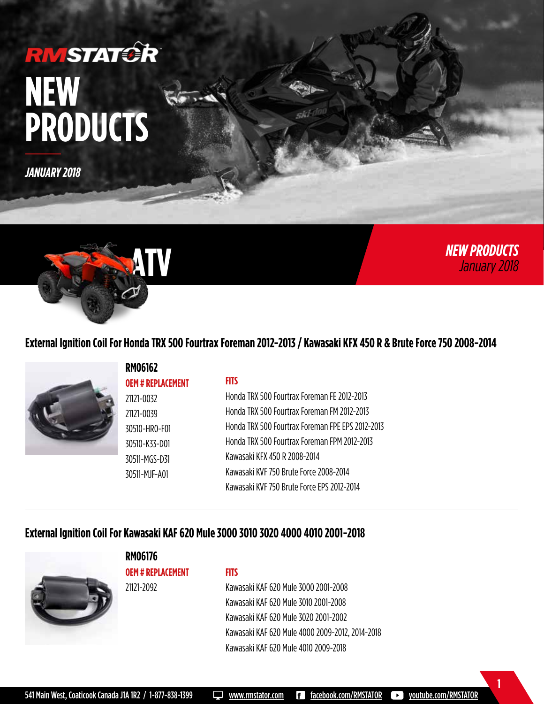## **RMSTATCR NEW PRODUCTS**

*JANUARY 2018*



## **External Ignition Coil For Honda TRX 500 Fourtrax Foreman 2012-2013 / Kawasaki KFX 450 R & Brute Force 750 2008-2014**

*NEW PRODUCTS*

*NEW PRODUCTS January 2018*

**1**



## **External Ignition Coil For Kawasaki KAF 620 Mule 3000 3010 3020 4000 4010 2001-2018**



**RM06176 OEM # REPLACEMENT** 21121-2092

#### **FITS**

Kawasaki KAF 620 Mule 3000 2001-2008 Kawasaki KAF 620 Mule 3010 2001-2008 Kawasaki KAF 620 Mule 3020 2001-2002 Kawasaki KAF 620 Mule 4000 2009-2012, 2014-2018 Kawasaki KAF 620 Mule 4010 2009-2018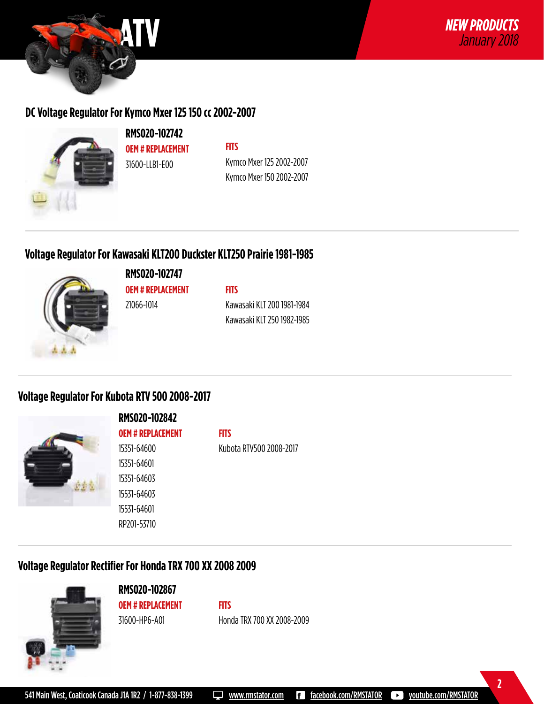

## **DC Voltage Regulator For Kymco Mxer 125 150 cc 2002-2007**



**RMS020-102742 OEM # REPLACEMENT** 31600-LLB1-E00

**FITS** Kymco Mxer 125 2002-2007 Kymco Mxer 150 2002-2007

## **Voltage Regulator For Kawasaki KLT200 Duckster KLT250 Prairie 1981-1985**



**RMS020-102747 OEM # REPLACEMENT**

21066-1014

**FITS**

Kawasaki KLT 200 1981-1984 Kawasaki KLT 250 1982-1985

## **Voltage Regulator For Kubota RTV 500 2008-2017**



**RMS020-102842 OEM # REPLACEMENT** 15351-64600 15351-64601 15351-64603 15531-64603

**FITS**

Kubota RTV500 2008-2017

**FITS**

## **Voltage Regulator Rectifier For Honda TRX 700 XX 2008 2009**

15531-64601 RP201-53710



**RMS020-102867 OEM # REPLACEMENT** 31600-HP6-A01

Honda TRX 700 XX 2008-2009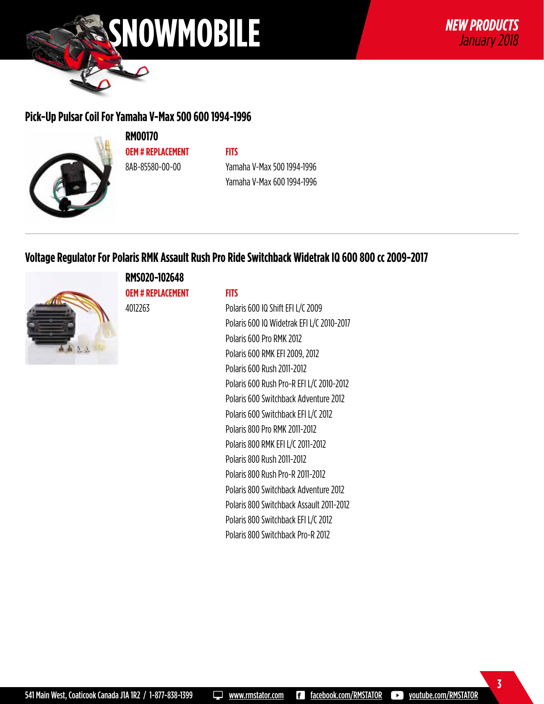

## **Pick-Up Pulsar Coil For Yamaha V-Max 500 600 1994-1996**



**RM00170 OEM # REPLACEMENT** 8AB-85580-00-00

**FITS** Yamaha V-Max 500 1994-1996 Yamaha V-Max 600 1994-1996

## **Voltage Regulator For Polaris RMK Assault Rush Pro Ride Switchback Widetrak IQ 600 800 cc 2009-2017**



**RMS020-102648 OEM # REPLACEMENT**

4012263

**FITS**

Polaris 600 IQ Shift EFI L/C 2009 Polaris 600 IQ Widetrak EFI L/C 2010-2017 Polaris 600 Pro RMK 2012 Polaris 600 RMK EFI 2009, 2012 Polaris 600 Rush 2011-2012 Polaris 600 Rush Pro-R EFI L/C 2010-2012 Polaris 600 Switchback Adventure 2012 Polaris 600 Switchback EFI L/C 2012 Polaris 800 Pro RMK 2011-2012 Polaris 800 RMK EFI L/C 2011-2012 Polaris 800 Rush 2011-2012 Polaris 800 Rush Pro-R 2011-2012 Polaris 800 Switchback Adventure 2012 Polaris 800 Switchback Assault 2011-2012 Polaris 800 Switchback EFI L/C 2012 Polaris 800 Switchback Pro-R 2012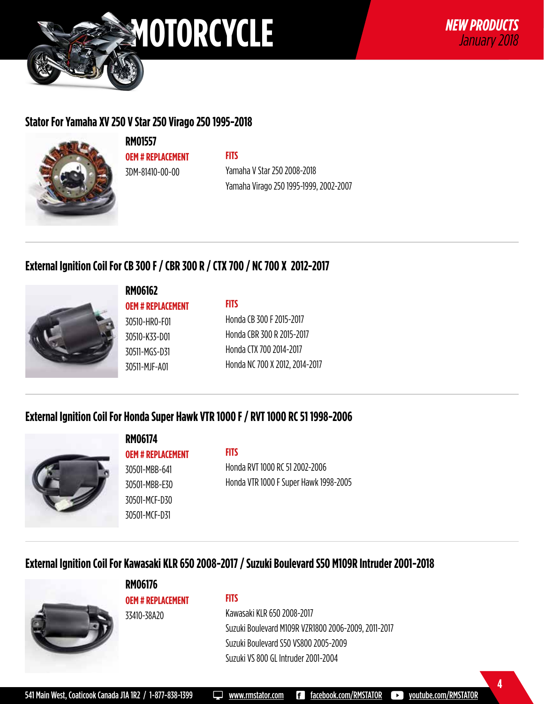

## **Stator For Yamaha XV 250 V Star 250 Virago 250 1995-2018**



**RM01557 OEM # REPLACEMENT** 3DM-81410-00-00

## **FITS**

**FITS**

Yamaha V Star 250 2008-2018 Yamaha Virago 250 1995-1999, 2002-2007

## **External Ignition Coil For CB 300 F / CBR 300 R / CTX 700 / NC 700 X 2012-2017**



#### **RM06162**

**OEM # REPLACEMENT** 30510-HR0-F01 30510-K33-D01 30511-MGS-D31 30511-MJF-A01

Honda CB 300 F 2015-2017 Honda CBR 300 R 2015-2017 Honda CTX 700 2014-2017 Honda NC 700 X 2012, 2014-2017

## **External Ignition Coil For Honda Super Hawk VTR 1000 F / RVT 1000 RC 51 1998-2006**



## **RM06174 OEM # REPLACEMENT**

30501-MBB-641 30501-MBB-E30 30501-MCF-D30 30501-MCF-D31

#### **FITS**

Honda RVT 1000 RC 51 2002-2006 Honda VTR 1000 F Super Hawk 1998-2005

## **External Ignition Coil For Kawasaki KLR 650 2008-2017 / Suzuki Boulevard S50 M109R Intruder 2001-2018**



**OEM # REPLACEMENT** 33410-38A20

**RM06176**

#### **FITS**

## Kawasaki KLR 650 2008-2017 Suzuki Boulevard M109R VZR1800 2006-2009, 2011-2017 Suzuki Boulevard S50 VS800 2005-2009 Suzuki VS 800 GL Intruder 2001-2004

541 Main West, Coaticook Canada J1A 1R2 / 1-877-838-1399 Www.rmstator.com **Facebook.com/RMSTATOR Democrative.com/RMSTATOR**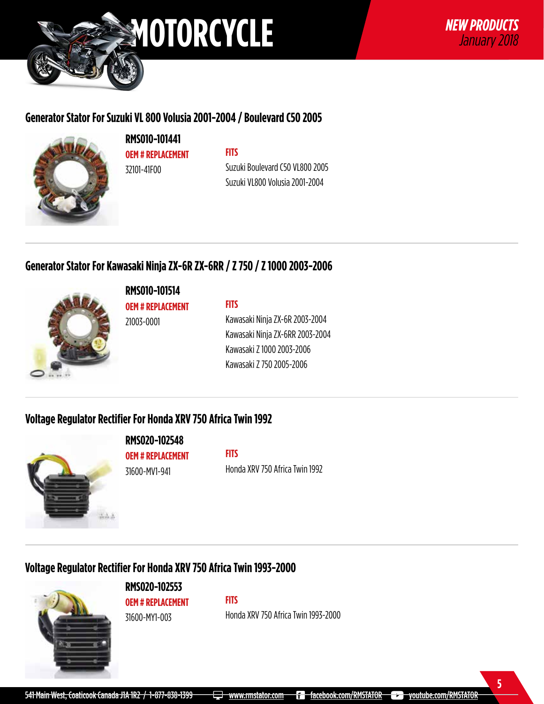

## **Generator Stator For Suzuki VL 800 Volusia 2001-2004 / Boulevard C50 2005**



**RMS010-101441 OEM # REPLACEMENT** 32101-41F00

## **FITS**

Suzuki Boulevard C50 VL800 2005 Suzuki VL800 Volusia 2001-2004

## **Generator Stator For Kawasaki Ninja ZX-6R ZX-6RR / Z 750 / Z 1000 2003-2006**



**RMS010-101514**

**OEM # REPLACEMENT** 21003-0001

**FITS**

Kawasaki Ninja ZX-6R 2003-2004 Kawasaki Ninja ZX-6RR 2003-2004 Kawasaki Z 1000 2003-2006 Kawasaki Z 750 2005-2006

## **Voltage Regulator Rectifier For Honda XRV 750 Africa Twin 1992**



**OEM # REPLACEMENT** 31600-MV1-941

**RMS020-102548**

**FITS** Honda XRV 750 Africa Twin 1992

## **Voltage Regulator Rectifier For Honda XRV 750 Africa Twin 1993-2000**



**RMS020-102553 OEM # REPLACEMENT** 31600-MY1-003

Honda XRV 750 Africa Twin 1993-2000

**FITS**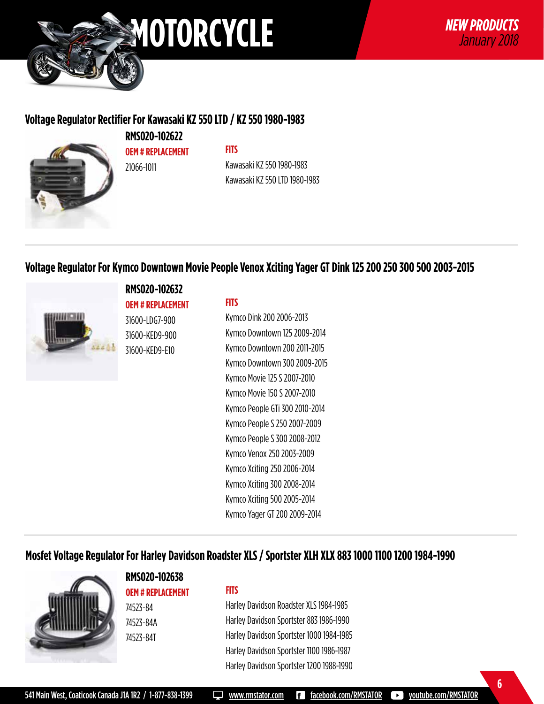

## **Voltage Regulator Rectifier For Kawasaki KZ 550 LTD / KZ 550 1980-1983**



**RMS020-102622 OEM # REPLACEMENT** 21066-1011

## **FITS**

Kawasaki KZ 550 1980-1983 Kawasaki KZ 550 LTD 1980-1983

## **Voltage Regulator For Kymco Downtown Movie People Venox Xciting Yager GT Dink 125 200 250 300 500 2003-2015**



#### **RMS020-102632**

**OEM # REPLACEMENT** 31600-LDG7-900 31600-KED9-900 31600-KED9-E10

#### **FITS**

Kymco Dink 200 2006-2013 Kymco Downtown 125 2009-2014 Kymco Downtown 200 2011-2015 Kymco Downtown 300 2009-2015 Kymco Movie 125 S 2007-2010 Kymco Movie 150 S 2007-2010 Kymco People GTi 300 2010-2014 Kymco People S 250 2007-2009 Kymco People S 300 2008-2012 Kymco Venox 250 2003-2009 Kymco Xciting 250 2006-2014 Kymco Xciting 300 2008-2014 Kymco Xciting 500 2005-2014 Kymco Yager GT 200 2009-2014

## **Mosfet Voltage Regulator For Harley Davidson Roadster XLS / Sportster XLH XLX 883 1000 1100 1200 1984-1990**



**RMS020-102638 OEM # REPLACEMENT** 74523-84 74523-84A

74523-84T

#### **FITS**

Harley Davidson Roadster XLS 1984-1985 Harley Davidson Sportster 883 1986-1990 Harley Davidson Sportster 1000 1984-1985 Harley Davidson Sportster 1100 1986-1987 Harley Davidson Sportster 1200 1988-1990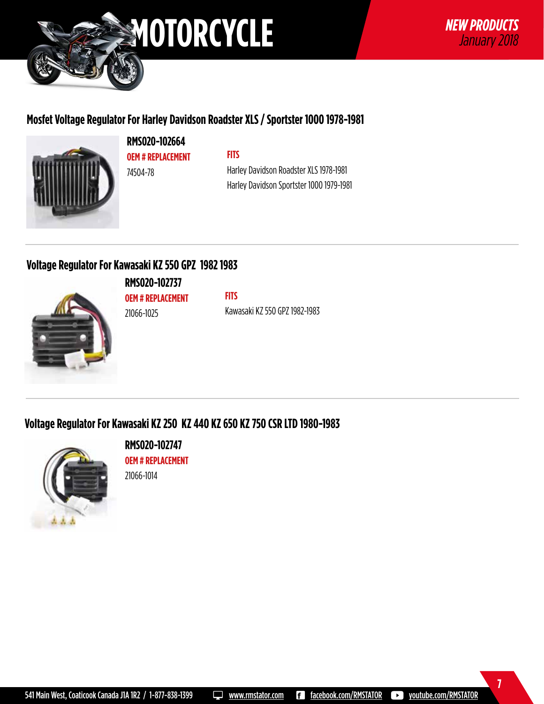

## **Mosfet Voltage Regulator For Harley Davidson Roadster XLS / Sportster 1000 1978-1981**



**RMS020-102664 OEM # REPLACEMENT** 74504-78

#### **FITS**

Harley Davidson Roadster XLS 1978-1981 Harley Davidson Sportster 1000 1979-1981

## **Voltage Regulator For Kawasaki KZ 550 GPZ 1982 1983**



**RMS020-102737 OEM # REPLACEMENT** 21066-1025

**FITS** Kawasaki KZ 550 GPZ 1982-1983

## **Voltage Regulator For Kawasaki KZ 250 KZ 440 KZ 650 KZ 750 CSR LTD 1980-1983**



**RMS020-102747 OEM # REPLACEMENT**

21066-1014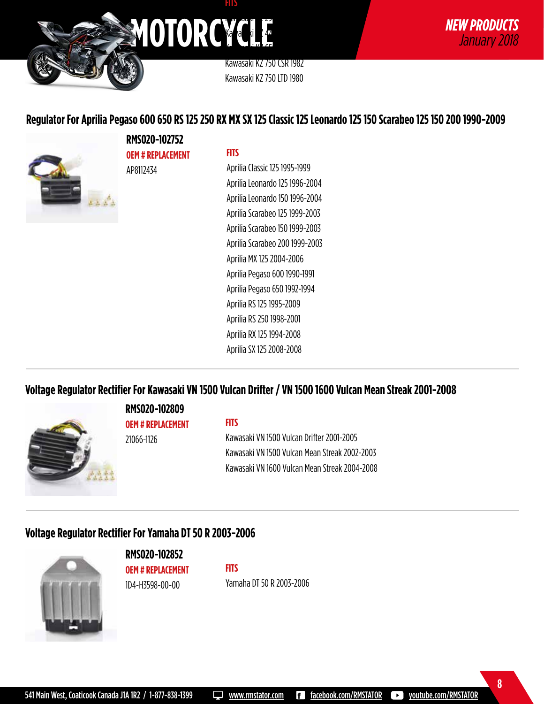

Kawasaki KZ 750 CSR 1982 Kawasaki KZ 750 LTD 1980

## **Regulator For Aprilia Pegaso 600 650 RS 125 250 RX MX SX 125 Classic 125 Leonardo 125 150 Scarabeo 125 150 200 1990-2009**



**RMS020-102752 OEM # REPLACEMENT** AP8112434

#### **FITS**

Aprilia Classic 125 1995-1999 Aprilia Leonardo 125 1996-2004 Aprilia Leonardo 150 1996-2004 Aprilia Scarabeo 125 1999-2003 Aprilia Scarabeo 150 1999-2003 Aprilia Scarabeo 200 1999-2003 Aprilia MX 125 2004-2006 Aprilia Pegaso 600 1990-1991 Aprilia Pegaso 650 1992-1994 Aprilia RS 125 1995-2009 Aprilia RS 250 1998-2001 Aprilia RX 125 1994-2008 Aprilia SX 125 2008-2008

## **Voltage Regulator Rectifier For Kawasaki VN 1500 Vulcan Drifter / VN 1500 1600 Vulcan Mean Streak 2001-2008**



#### **RMS020-102809 OEM # REPLACEMENT**

**FITS** Kawasaki VN 1500 Vulcan Drifter 2001-2005 Kawasaki VN 1500 Vulcan Mean Streak 2002-2003 Kawasaki VN 1600 Vulcan Mean Streak 2004-2008

## **Voltage Regulator Rectifier For Yamaha DT 50 R 2003-2006**

21066-1126



**RMS020-102852 OEM # REPLACEMENT** 1D4-H3598-00-00

**FITS** Yamaha DT 50 R 2003-2006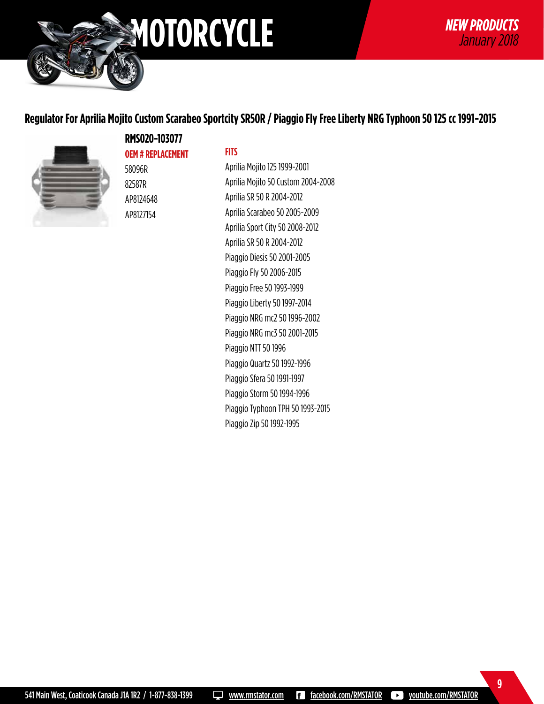

**9**

## **Regulator For Aprilia Mojito Custom Scarabeo Sportcity SR50R / Piaggio Fly Free Liberty NRG Typhoon 50 125 cc 1991-2015**



**RMS020-103077 OEM # REPLACEMENT** 58096R 82587R AP8124648 AP8127154

#### **FITS**

Aprilia Mojito 125 1999-2001 Aprilia Mojito 50 Custom 2004-2008 Aprilia SR 50 R 2004-2012 Aprilia Scarabeo 50 2005-2009 Aprilia Sport City 50 2008-2012 Aprilia SR 50 R 2004-2012 Piaggio Diesis 50 2001-2005 Piaggio Fly 50 2006-2015 Piaggio Free 50 1993-1999 Piaggio Liberty 50 1997-2014 Piaggio NRG mc2 50 1996-2002 Piaggio NRG mc3 50 2001-2015 Piaggio NTT 50 1996 Piaggio Quartz 50 1992-1996 Piaggio Sfera 50 1991-1997 Piaggio Storm 50 1994-1996 Piaggio Typhoon TPH 50 1993-2015 Piaggio Zip 50 1992-1995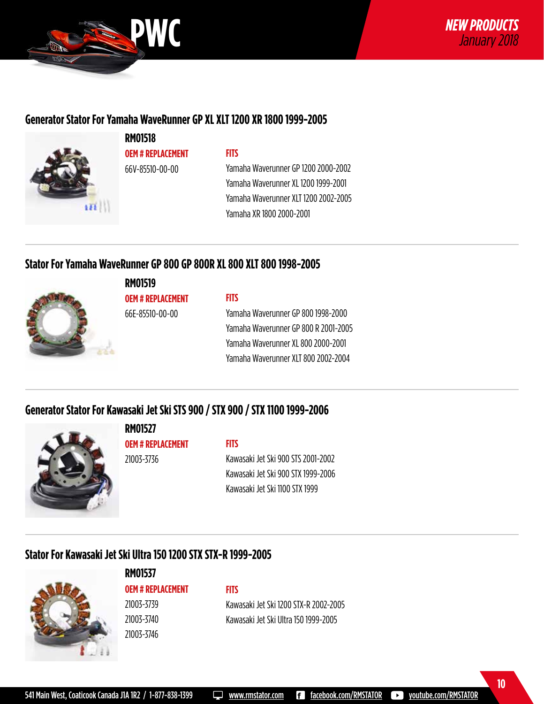

## **Generator Stator For Yamaha WaveRunner GP XL XLT 1200 XR 1800 1999-2005**



**RM01518 OEM # REPLACEMENT** 66V-85510-00-00

#### **FITS**

Yamaha Waverunner GP 1200 2000-2002 Yamaha Waverunner XL 1200 1999-2001 Yamaha Waverunner XLT 1200 2002-2005 Yamaha XR 1800 2000-2001

## **Stator For Yamaha WaveRunner GP 800 GP 800R XL 800 XLT 800 1998-2005**



**RM01519 OEM # REPLACEMENT**

66E-85510-00-00

#### **FITS**

Yamaha Waverunner GP 800 1998-2000 Yamaha Waverunner GP 800 R 2001-2005 Yamaha Waverunner XL 800 2000-2001 Yamaha Waverunner XLT 800 2002-2004

## **Generator Stator For Kawasaki Jet Ski STS 900 / STX 900 / STX 1100 1999-2006**



**RM01527 OEM # REPLACEMENT** 21003-3736

#### **FITS**

**FITS**

Kawasaki Jet Ski 900 STS 2001-2002 Kawasaki Jet Ski 900 STX 1999-2006 Kawasaki Jet Ski 1100 STX 1999

## **Stator For Kawasaki Jet Ski Ultra 150 1200 STX STX-R 1999-2005**



**RM01537 OEM # REPLACEMENT** 21003-3739 21003-3740 21003-3746

Kawasaki Jet Ski 1200 STX-R 2002-2005 Kawasaki Jet Ski Ultra 150 1999-2005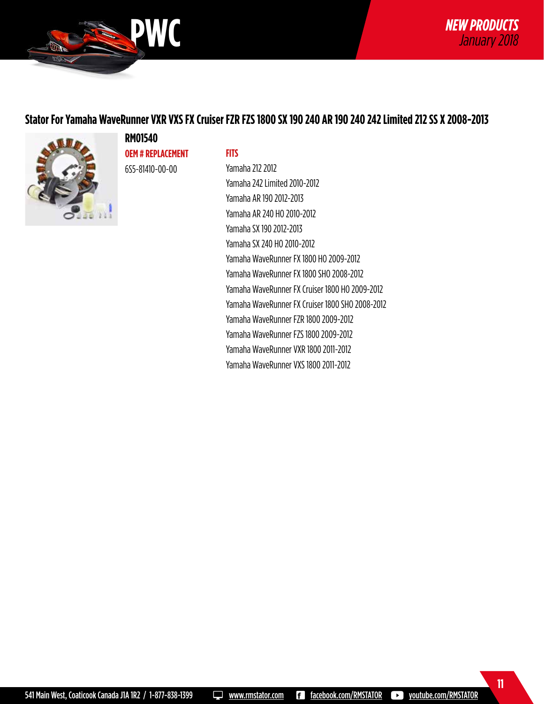

## **Stator For Yamaha WaveRunner VXR VXS FX Cruiser FZR FZS 1800 SX 190 240 AR 190 240 242 Limited 212 SS X 2008-2013**



**RM01540 OEM # REPLACEMENT** 6S5-81410-00-00

#### **FITS**

Yamaha 212 2012 Yamaha 242 Limited 2010-2012 Yamaha AR 190 2012-2013 Yamaha AR 240 HO 2010-2012 Yamaha SX 190 2012-2013 Yamaha SX 240 HO 2010-2012 Yamaha WaveRunner FX 1800 HO 2009-2012 Yamaha WaveRunner FX 1800 SHO 2008-2012 Yamaha WaveRunner FX Cruiser 1800 HO 2009-2012 Yamaha WaveRunner FX Cruiser 1800 SHO 2008-2012 Yamaha WaveRunner FZR 1800 2009-2012 Yamaha WaveRunner FZS 1800 2009-2012 Yamaha WaveRunner VXR 1800 2011-2012 Yamaha WaveRunner VXS 1800 2011-2012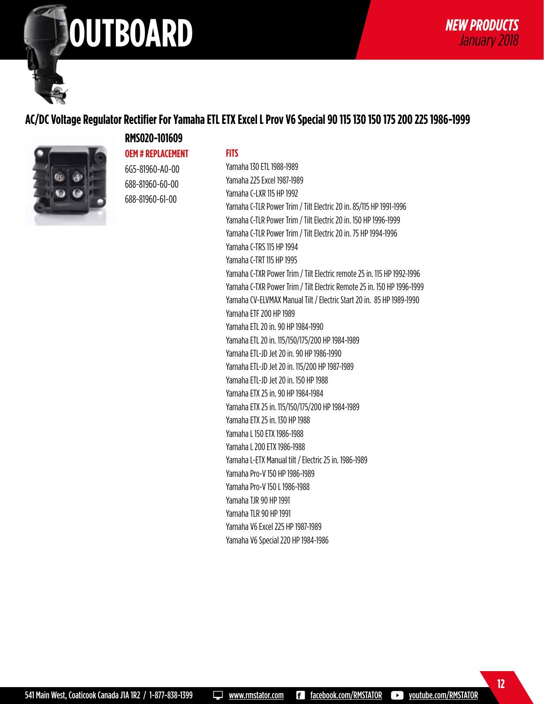# **ATV** *NEW PRODUCTS* **OUTBOARD** *January 2018*

## **AC/DC Voltage Regulator Rectifier For Yamaha ETL ETX Excel L Prov V6 Special 90 115 130 150 175 200 225 1986-1999**



## **RMS020-101609 OEM # REPLACEMENT** 6G5-81960-A0-00

688-81960-60-00 688-81960-61-00

**FITS**

Yamaha 130 ETL 1988-1989 Yamaha 225 Excel 1987-1989 Yamaha C-LXR 115 HP 1992 Yamaha C-TLR Power Trim / Tilt Electric 20 in. 85/115 HP 1991-1996 Yamaha C-TLR Power Trim / Tilt Electric 20 in. 150 HP 1996-1999 Yamaha C-TLR Power Trim / Tilt Electric 20 in. 75 HP 1994-1996 Yamaha C-TRS 115 HP 1994 Yamaha C-TRT 115 HP 1995 Yamaha C-TXR Power Trim / Tilt Electric remote 25 in. 115 HP 1992-1996 Yamaha C-TXR Power Trim / Tilt Electric Remote 25 in. 150 HP 1996-1999 Yamaha CV-ELVMAX Manual Tilt / Electric Start 20 in. 85 HP 1989-1990 Yamaha ETF 200 HP 1989 Yamaha ETL 20 in. 90 HP 1984-1990 Yamaha ETL 20 in. 115/150/175/200 HP 1984-1989 Yamaha ETL-JD Jet 20 in. 90 HP 1986-1990 Yamaha ETL-JD Jet 20 in. 115/200 HP 1987-1989 Yamaha ETL-JD Jet 20 in. 150 HP 1988 Yamaha ETX 25 in. 90 HP 1984-1984 Yamaha ETX 25 in. 115/150/175/200 HP 1984-1989 Yamaha ETX 25 in. 130 HP 1988 Yamaha L 150 ETX 1986-1988 Yamaha L 200 ETX 1986-1988 Yamaha L-ETX Manual tilt / Electric 25 in. 1986-1989 Yamaha Pro-V 150 HP 1986-1989 Yamaha Pro-V 150 L 1986-1988 Yamaha TJR 90 HP 1991 Yamaha TLR 90 HP 1991 Yamaha V6 Excel 225 HP 1987-1989 Yamaha V6 Special 220 HP 1984-1986